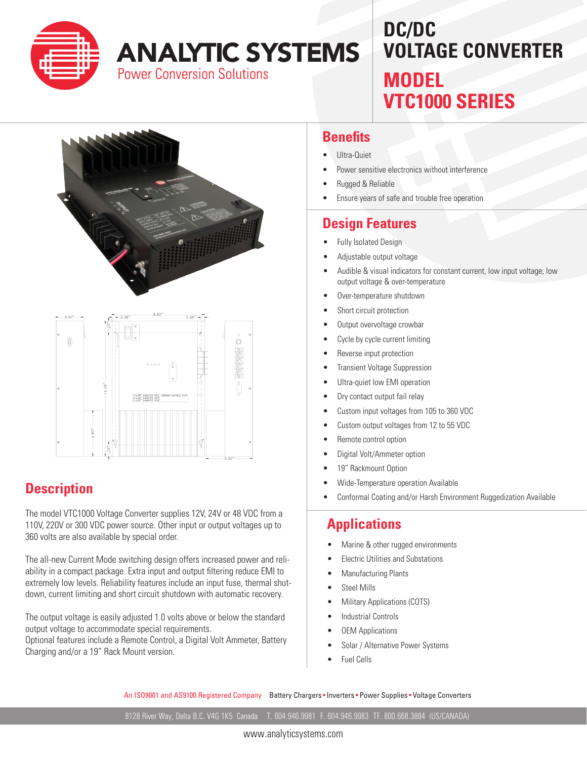

**ANALYTIC SYSTEMS** 

**Power Conversion Solutions** 

# **DC/DC VOLTAGE CONVERTER MODEL VTC1000 SERIES**



### **Description**

The model VTC1000 Voltage Converter supplies 12V, 24V or 48 VDC from a 110V, 220V or 300 VDC power source. Other input or output voltages up to 360 volts are also available by special order.

The all-new Current Mode switching design offers increased power and reliability in a compact package. Extra input and output filtering reduce EMI to extremely low levels. Reliability features include an input fuse, thermal shutdown, current limiting and short circuit shutdown with automatic recovery.

The output voltage is easily adjusted 1.0 volts above or below the standard output voltage to accommodate special requirements.

Optional features include a Remote Control, a Digital Volt Ammeter, Battery Charging and/or a 19" Rack Mount version.

#### **Benefits**

- Ultra-Quiet
- Power sensitive electronics without interference
- **Rugged & Reliable**
- Ensure years of safe and trouble free operation

### **Design Features**

- Fully Isolated Design
- Adjustable output voltage
- Audible & visual indicators for constant current, low input voltage, low output voltage & over-temperature
- Over-temperature shutdown
- Short circuit protection
- Output overvoltage crowbar
- Cycle by cycle current limiting
- Reverse input protection
- **Transient Voltage Suppression**
- Ultra-quiet low EMI operation
- Dry contact output fail relay
- Custom input voltages from 105 to 360 VDC
- Custom output voltages from 12 to 55 VDC
- Remote control option
- Digital Volt/Ammeter option
- 19" Rackmount Option
- Wide-Temperature operation Available
- Conformal Coating and/or Harsh Environment Ruggedization Available

#### **Applications**

- Marine & other rugged environments
- **Electric Utilities and Substations**
- **Manufacturing Plants**
- **Steel Mills**
- **Military Applications (COTS)**
- **Industrial Controls**
- **OEM Applications**
- Solar / Alternative Power Systems
- **Fuel Cells**

An ISO9001 and AS9100 Registered Company Battery Chargers • Inverters • Power Supplies • Voltage Converters